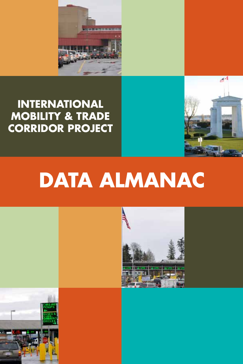

# **INTERNATIONAL MOBILITY & TRADE CORRIDOR PROJECT**





 $A<sup>2</sup>$ 

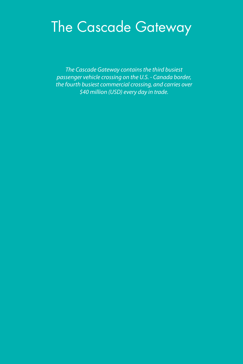# The Cascade Gateway

*The Cascade Gateway contains the third busiest passenger vehicle crossing on the U.S. - Canada border, the fourth busiest commercial crossing, and carries over \$40 million (USD) every day in trade.*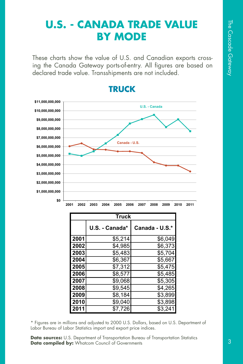# **U.S. - CANADA TRADE VALUE BY MODE**

These charts show the value of U.S. and Canadian exports crossing the Canada Gateway ports-of-entry. All figures are based on declared trade value. Transshipments are not included.



### **TRUCK**

|      | <b>Truck</b>   |                |  |  |  |  |  |  |
|------|----------------|----------------|--|--|--|--|--|--|
|      | U.S. - Canada* | Canada - U.S.* |  |  |  |  |  |  |
| 2001 | \$5,214        | \$6,049        |  |  |  |  |  |  |
| 2002 | \$4,985        | \$6,373        |  |  |  |  |  |  |
| 2003 | \$5,483        | \$5,704        |  |  |  |  |  |  |
| 2004 | \$6,367        | \$5,667        |  |  |  |  |  |  |
| 2005 | \$7,312        | \$5,475        |  |  |  |  |  |  |
| 2006 | \$8,577        | \$5,485        |  |  |  |  |  |  |
| 2007 | \$9,068        | \$5,305        |  |  |  |  |  |  |
| 2008 | \$9,545        | \$4,265        |  |  |  |  |  |  |
| 2009 | \$8,184        | \$3,899        |  |  |  |  |  |  |
| 2010 | \$9,040        | \$3,898        |  |  |  |  |  |  |
| 2011 | \$7,726        | \$3.241        |  |  |  |  |  |  |

\* Figures are in millions and adjusted to 2000 U.S. Dollars, based on U.S. Department of Labor Bureau of Labor Statistics import and export price indices.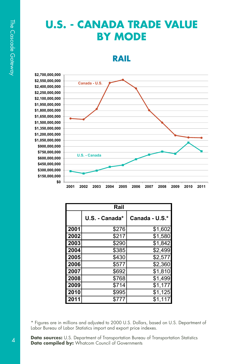# **U.S. - CANADA TRADE VALUE BY MODE**

**RAIL**

\$150 **\$300,000,000** \$450 **\$600,000,000** \$750 **\$900,000,000** \$1,050 \$1,200 \$1,350 \$1,500  $$1,650$  $$1,800$ \$1,950  $$2,100$  $$2,250$  $$2,400$  $$2,550$  $$2,700$ 

| ,000,000 |      |               |               |      |      |      |      |      |      |      |      |
|----------|------|---------------|---------------|------|------|------|------|------|------|------|------|
| ,000,000 |      |               | Canada - U.S. |      |      |      |      |      |      |      |      |
| ,000,000 |      |               |               |      |      |      |      |      |      |      |      |
| ,000,000 |      |               |               |      |      |      |      |      |      |      |      |
| ,000,000 |      |               |               |      |      |      |      |      |      |      |      |
| ,000,000 |      |               |               |      |      |      |      |      |      |      |      |
| ,000,000 |      |               |               |      |      |      |      |      |      |      |      |
| ,000,000 |      |               |               |      |      |      |      |      |      |      |      |
| ,000,000 |      |               |               |      |      |      |      |      |      |      |      |
| ,000,000 |      |               |               |      |      |      |      |      |      |      |      |
| ,000,000 |      |               |               |      |      |      |      |      |      |      |      |
| ,000,000 |      |               |               |      |      |      |      |      |      |      |      |
| ,000,000 |      |               |               |      |      |      |      |      |      |      |      |
| ,000,000 |      |               |               |      |      |      |      |      |      |      |      |
| ,000,000 |      | U.S. - Canada |               |      |      |      |      |      |      |      |      |
| ,000,000 |      |               |               |      |      |      |      |      |      |      |      |
| ,000,000 |      |               |               |      |      |      |      |      |      |      |      |
| ,000,000 |      |               |               |      |      |      |      |      |      |      |      |
| \$0      |      |               |               |      |      |      |      |      |      |      |      |
|          | 2001 | 2002          | 2003          | 2004 | 2005 | 2006 | 2007 | 2008 | 2009 | 2010 | 2011 |

|      | Rail           |                |  |  |  |  |  |  |
|------|----------------|----------------|--|--|--|--|--|--|
|      | U.S. - Canada* | Canada - U.S.* |  |  |  |  |  |  |
| 2001 | \$276          | \$1,602        |  |  |  |  |  |  |
| 2002 | \$217          | \$1,580        |  |  |  |  |  |  |
| 2003 | \$290          | \$1,842        |  |  |  |  |  |  |
| 2004 | \$385          | \$2,499        |  |  |  |  |  |  |
| 2005 | \$430          | \$2,577        |  |  |  |  |  |  |
| 2006 | \$577          | \$2,360        |  |  |  |  |  |  |
| 2007 | \$692          | \$1,810        |  |  |  |  |  |  |
| 2008 | \$768          | \$1,499        |  |  |  |  |  |  |
| 2009 | \$714          | \$1,177        |  |  |  |  |  |  |
| 2010 | \$995          | \$1,125        |  |  |  |  |  |  |
| 2011 | \$777          | \$1,117        |  |  |  |  |  |  |

\* Figures are in millions and adjusted to 2000 U.S. Dollars, based on U.S. Department of Labor Bureau of Labor Statistics import and export price indexes.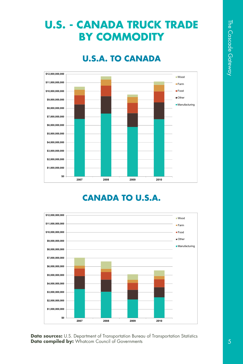# **U.S. - CANADA TRUCK TRADE BY COMMODITY**

### **U.S.A. TO CANADA**



### **CANADA TO U.S.A.**

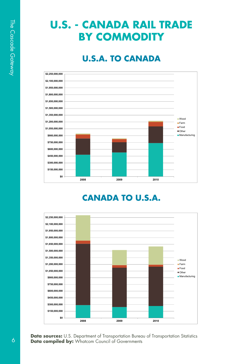# **U.S. - CANADA RAIL TRADE BY COMMODITY**

### **U.S.A. TO CANADA**



### **CANADA TO U.S.A.**

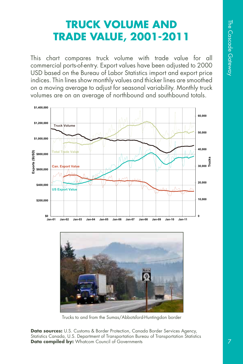# **TRUCK VOLUME AND TRADE VALUE, 2001-2011**

This chart compares truck volume with trade value for all commercial ports-of-entry. Export values have been adjusted to 2000 USD based on the Bureau of Labor Statistics import and export price indices. Thin lines show monthly values and thicker lines are smoothed on a moving average to adjust for seasonal variability. Monthly truck volumes are on an average of northbound and southbound totals.





Trucks to and from the Sumas/Abbotsford-Huntingdon border

**Data sources:** U.S. Customs & Border Protection, Canada Border Services Agency, Statistics Canada, U.S. Department of Transportation Bureau of Transportation Statistics **Data compiled by:** Whatcom Council of Governments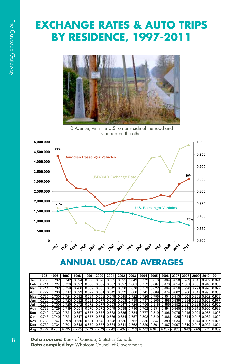# **EXCHANGE RATES & AUTO TRIPS BY RESIDENCE, 1997-2011**



0 Avenue, with the U.S. on one side of the road and Canada on the other



### **ANNUAL USD/CAD AVERAGES**

|             | 1995  | 1996  | 1997  | 1998  | 1999  | 2000            | 2001                                                                          | 2002            | 2003 I                                                            | 2004                                                  | 2005 2006 2007                            | 2008 | 2009 2010 2011 |  |
|-------------|-------|-------|-------|-------|-------|-----------------|-------------------------------------------------------------------------------|-----------------|-------------------------------------------------------------------|-------------------------------------------------------|-------------------------------------------|------|----------------|--|
| Jan         |       |       |       | 0.694 | 0.658 | 0.690           | 0.665                                                                         | 0.625           |                                                                   | 0.649 0.772                                           | 0.816 0.864 0.850 0.989 0.815 0.959 0.994 |      |                |  |
| <b>IFeb</b> | 0 714 |       | 0.738 | 0.697 |       | 0.668 0.689     |                                                                               | 0.657 0.627     |                                                                   | 0.661 0.752 0.807 0.870 0.854 1.001 0.803 0.946 0.988 |                                           |      |                |  |
| Mar         |       | 0.732 | 0.729 | 0.706 |       | $0.659$ $0.685$ |                                                                               | 0.642 0.630     |                                                                   | 0.678 0.753 0.822 0.864 0.856 0.998 0.791 0.978 0.977 |                                           |      |                |  |
| Apr         | 0.727 | 0.736 | 0.717 | 0.699 | 0.672 | 0.681           |                                                                               |                 | 0.642 0.632 0.686 0.745 0.809 0.874 0.882 0.986 0.817 0.995 0.958 |                                                       |                                           |      |                |  |
| <b>Mav</b>  | 0.735 | 0.730 | 0.724 | 0.692 |       |                 | 0.684 0.669 0.649 0.645 0.722 0.726 0.796 0.901 0.913 1.001 0.869 0.962 0.968 |                 |                                                                   |                                                       |                                           |      |                |  |
| Jun         | 0.726 | 0.732 | 0.723 | 0.682 |       | 0.681 0.677     | 0.656                                                                         |                 | 0.653 0.739 0.737 0.806 0.898 0.939 0.984 0.888 0.963 0.977       |                                                       |                                           |      |                |  |
| lul         | 0.735 | 0.730 | 0.726 | 0.672 | 0.672 | 0.677           |                                                                               | $0.653$ $0.647$ |                                                                   | 0.724 0.756 0.818 0.886 0.952 0.987 0.891 0.959 0.955 |                                           |      |                |  |
| Aug         | 0.738 | 0.729 | 0.719 | 0.651 |       | 0.670 0.675     | 0.649                                                                         |                 | 0.638 0.716 0.762 0.831 0.894 0.945 0.948 0.919 0.960 0.983       |                                                       |                                           |      |                |  |
| Sep         | 0.740 | 0.730 | 0.721 | 0.657 |       |                 | 0.677 0.673 0.638 0.635 0.734 0.777 0.849 0.896 0.975 0.945 0.924 0.968 1.003 |                 |                                                                   |                                                       |                                           |      |                |  |
| Oct         | 0.743 | 0.740 | 0.721 | 0.647 | 0.677 | 0.661           | 0.636                                                                         | 0.634           |                                                                   | 0.757 0.802                                           | 0.849 0.886 1.025 0.844 0.948 0.982 1.020 |      |                |  |
| Nov         | 0.739 | 0.747 | 0.708 | 0.650 |       | 0.681 0.648     |                                                                               |                 | 0.628 0.636 0.762 0.836 0.847 0.880 1.034 0.821 0.944 0.987 1.026 |                                                       |                                           |      |                |  |
| <b>Dec</b>  | 0.730 | 0.734 | 0.701 | 0.648 |       |                 | 0.679 0.657 0.634 0.641 0.762 0.820 0.861 0.867 0.997 0.810 0.948 0.992 1.024 |                 |                                                                   |                                                       |                                           |      |                |  |
| Ava         |       | 0.733 |       | 0.675 | 0.673 |                 | 0.673 0.646                                                                   | 0.637           |                                                                   | 0.716 0.770                                           | 0.826 0.882 0.935 0.943 0.880 0.97        |      |                |  |

**Data sources:** Bank of Canada, Statistics Canada **Data compiled by:** Whatcom Council of Governments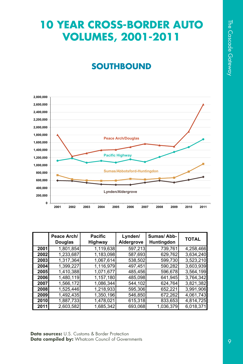# **10 YEAR CROSS-BORDER AUTO VOLUMES, 2001-2011**

### **SOUTHBOUND**



|             | Peace Arch/<br><b>Douglas</b> | <b>Pacific</b><br>Highway | Lynden/<br>Aldergrove | Sumas/Abb-<br>Huntingdon | <b>TOTAL</b> |
|-------------|-------------------------------|---------------------------|-----------------------|--------------------------|--------------|
| 2001        | 1,801,854                     | 1,119,638                 | 597,213               | 739,761                  | 4,258,466    |
| 2002        | 1,233,687                     | 1,183,098                 | 587,693               | 629,762                  | 3,634,240    |
| 2003        | 1,317,364                     | 1,067,614                 | 538,502               | 599,730                  | 3,523,210    |
| 2004        | 1,399,227                     | 1,116,979                 | 497,451               | 590,282                  | 3,603,939    |
| <b>2005</b> | 1,410,388                     | 1,071,677                 | 485,456               | 596,678                  | 3,564,199    |
| 2006        | 1,480,119                     | 1,157,180                 | 485.098               | 641,945                  | 3.764.342    |
| 2007        | 1,566,172                     | 1,086,344                 | 544,102               | 624,764                  | 3,821,382    |
| 2008        | 1,525,446                     | 1,218,933                 | 595,306               | 652,221                  | 3,991,906    |
| <b>2009</b> | 1,492,435                     | 1,350,196                 | 546,850               | 672,262                  | 4,061,743    |
| <b>2010</b> | 1,887,733                     | 1,478,021                 | 615,318               | 833,653                  | 4,814,725    |
| 2011        | 2,603,582                     | 1,685,342                 | 693,068               | 1,036,379                | 6,018,371    |

**Data sources:** U.S. Customs & Border Protection **Data compiled by:** Whatcom Council of Governments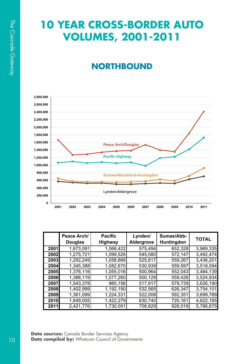# **10 YEAR CROSS-BORDER AUTO VOLUMES, 2001-2011**

## **NORTHBOUND**



|             | Peace Arch/<br><b>Douglas</b> | <b>Pacific</b><br><b>Highway</b> | Lynden/<br>Aldergrove | Sumas/Abb-<br>Huntingdon | <b>TOTAL</b> |
|-------------|-------------------------------|----------------------------------|-----------------------|--------------------------|--------------|
| 2001        | 1.673.091                     | 1,068,422                        | 575,494               | 652,328                  | 3,969,335    |
| 2002        | 1,275,721                     | 1,099,526                        | 545.080               | 572,147                  | 3,492,474    |
| 2003        | 1.292.249                     | 1,058,868                        | 525,817               | 559,267                  | 3,436,201    |
| 2004        | 1,345,388                     | 1,082,670                        | 530,939               | 559,597                  | 3,518,594    |
| <b>2005</b> | 1,376,116                     | 1,055,016                        | 500,964               | 552,043                  | 3,484,139    |
| <b>2006</b> | 1.388.119                     | 1,077,260                        | 500,129               | 559,426                  | 3,524,934    |
| 2007        | 1,543,378                     | 985,156                          | 517,917               | 579,739                  | 3,626,190    |
| 2008        | 1,402,999                     | 1,192,190                        | 532,565               | 626,347                  | 3,754,101    |
| 2009        | 1,361,099                     | 1,224,331                        | 522,008               | 592,351                  | 3,699,789    |
| 2010        | 1,849,005                     | 1,422,279                        | 630,740               | 720,161                  | 4,622,185    |
| 2011        | 2,421,776                     | 1,730,051                        | 708.829               | 926,019                  | 5,786,675    |

**Data sources:** Canada Border Services Agency **Data compiled by:** Whatcom Council of Governments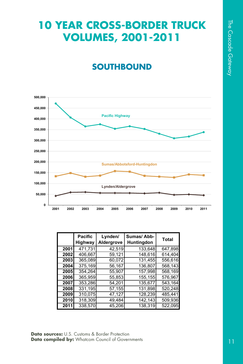# **10 YEAR CROSS-BORDER TRUCK VOLUMES, 2001-2011**

### **SOUTHBOUND**



|             | <b>Pacific</b><br>Highway | Lynden/<br>Aldergrove | Sumas/Abb-<br>Huntingdon | <b>Total</b> |
|-------------|---------------------------|-----------------------|--------------------------|--------------|
| 2001        | 471,731                   | 42,519                | 133,648                  | 647,898      |
| 2002        | 406,667                   | 59,121                | 148,616                  | 614,404      |
| 2003        | 365,089                   | 60.072                | 131,455                  | 556.616      |
| 2004        | 375.169                   | 56,167                | 136.807                  | 568,143      |
| <b>2005</b> | 354.264                   | 55,907                | 157,998                  | 568,169      |
| 2006        | 365,959                   | 55,853                | 155,155                  | 576,967      |
| 2007        | 353.286                   | 54,201                | 135.677                  | 543.164      |
| 2008        | 331,195                   | 57,155                | 131,898                  | 520,248      |
| 2009        | 310,075                   | 47,127                | 128,239                  | 485,441      |
| 2010        | 318,309                   | 49,484                | 142,143                  | 509,936      |
| 2011        | 338.570                   | 45.206                | 138.319                  | 522,095      |

**Data sources:** U.S. Customs & Border Protection **Data compiled by:** Whatcom Council of Governments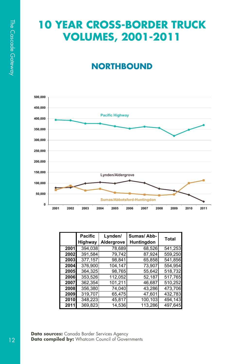# **10 YEAR CROSS-BORDER TRUCK VOLUMES, 2001-2011**

# **NORTHBOUND**



|      | <b>Pacific</b> | Lynden/    | Sumas/Abb-        | <b>Total</b> |
|------|----------------|------------|-------------------|--------------|
|      | Highway        | Aldergrove | <b>Huntingdon</b> |              |
| 2001 | 394,038        | 78,689     | 68,526            | 541,253      |
| 2002 | 391,584        | 79.742     | 87.924            | 559,250      |
| 2003 | 377,157        | 98.841     | 65,858            | 541,856      |
| 2004 | 376.900        | 104.147    | 73,907            | 554.954      |
| 2005 | 364,325        | 98,765     | 55,642            | 518,732      |
| 2006 | 353,526        | 112,052    | 52,187            | 517,765      |
| 2007 | 362,354        | 101,211    | 46.687            | 510,252      |
| 2008 | 356,380        | 74,040     | 43,286            | 473,706      |
| 2009 | 319,707        | 65,475     | 47.601            | 432,783      |
| 2010 | 348,223        | 45,817     | 100,103           | 494,143      |
| 2011 | 369,823        | 14.536     | 113.286           | 497,645      |

**Data sources:** Canada Border Services Agency **Data compiled by:** Whatcom Council of Governments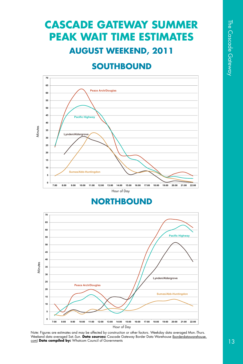# **CASCADE GATEWAY SUMMER PEAK WAIT TIME ESTIMATES AUGUST WEEKEND, 2011**

### **SOUTHBOUND**



### **NORTHBOUND**



Note: Figures are estimates and may be affected by construction or other factors. Weekday data averaged Mon.-Thurs. Weekend data averaged Sat.-Sun. **Data sources:** Cascade Gateway Border Data Warehouse (borderdatawarehouse. com) **Data compiled by:** Whatcom Council of Governments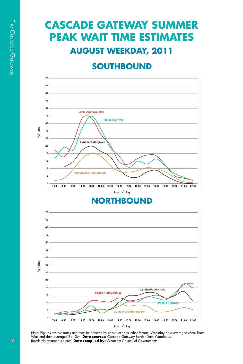# **CASCADE GATEWAY SUMMER PEAK WAIT TIME ESTIMATES AUGUST WEEKDAY, 2011**

### **SOUTHBOUND**



### **NORTHBOUND**



Note: Figures are estimates and may be affected by construction or other factors. Weekday data averaged Mon.-Thurs.<br>Weekend data averaged Sat.-Sun. **Data sources:** Cascade Gateway Border Data Warehouse (borderdatawarehouse.com) **Data compiled by:** Whatcom Council of Governments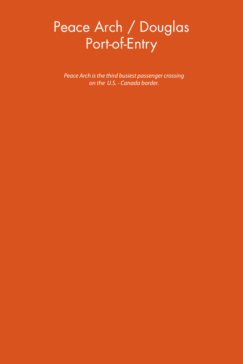# Peace Arch / Douglas Port-of-Entry

*Peace Arch is the third busiest passenger crossing on the U.S. - Canada border.*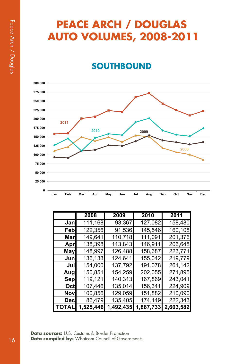# **PEACE ARCH / DOUGLAS AUTO VOLUMES, 2008-2011**

### **SOUTHBOUND**



|       | 2008      | 2009      | 2010      | 2011      |
|-------|-----------|-----------|-----------|-----------|
| Janl  | 111,168   | 93,367    | 127,082   | 158,480   |
| Febl  | 122,356   | 91,536    | 145,546   | 160,108   |
| Marl  | 149,641   | 110,718   | 111,091   | 201,376   |
| Apr   | 138,398   | 113,843   | 146,911   | 206,648   |
| Mayl  | 148,997   | 126,488   | 158,687   | 223,771   |
| Junl  | 136,133   | 124,641   | 155,042   | 219,779   |
| Jull  | 154,000   | 137,792   | 191,078   | 261,142   |
| Augl  | 150,851   | 154,259   | 202,055   | 271,895   |
| Sep   | 119,121   | 140,313   | 167,869   | 243,041   |
| Octl  | 107,446   | 135,014   | 156,341   | 224,909   |
| Novl  | 100,856   | 129,059   | 151,882   | 210,090   |
| Decl  | 86,479    | 135,405   | 174,149   | 222,343   |
| TOTAL | 1,525,446 | 1,492,435 | 1,887,733 | 2,603,582 |

**Data sources:** U.S. Customs & Border Protection Data compiled by: Whatcom Council of Governments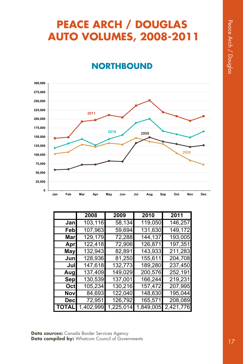# **PEACE ARCH / DOUGLAS AUTO VOLUMES, 2008-2011**

### **NORTHBOUND**



|            | 2008      | 2009      | 2010      | 2011      |
|------------|-----------|-----------|-----------|-----------|
| Janl       | 103,116   | 58,134    | 119,050   | 146,257   |
| Febl       | 107,963   | 59,694    | 131,630   | 149,172   |
| Marl       | 129,179   | 72,288    | 144,137   | 193,005   |
| Apr        | 122,418   | 72,906    | 126,871   | 197,351   |
| May        | 132,943   | 82,891    | 143,933   | 211,283   |
| Junl       | 128,936   | 81,250    | 155,611   | 204,708   |
| Jul        | 147,618   | 132,773   | 189,280   | 237,450   |
| Augl       | 137,409   | 149,029   | 200,576   | 252,191   |
| Sep        | 130,539   | 137,001   | 166,244   | 219,231   |
| Octl       | 105,234   | 130,216   | 157,472   | 207,995   |
| Nov        | 84,693    | 122,040   | 148,630   | 195,044   |
| <b>Dec</b> | 72,951    | 126,792   | 165,571   | 208,089   |
| TOTAL      | 1,402,999 | 1,225,014 | 1,849,005 | 2,421,776 |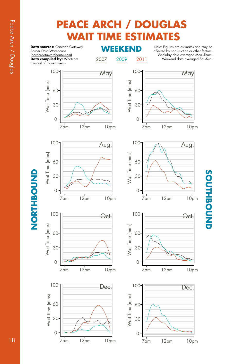# **PEACE ARCH / DOUGLAS WAIT TIME ESTIMATES**

**Data sources:** Cascade Gateway<br>**Recep Data Werehouse** Border Data Warehouse (borderdatawarehouse.com) **Data compiled by:** Whatcom Council of Governments

2007 2009 2011

Note: Figures are estimates and may be affected by construction or other factors. Weekday data averaged Mon.-Thurs. Weekend data averaged Sat.-Sun.



# SOUTHBOUND **SOUTHBOUND**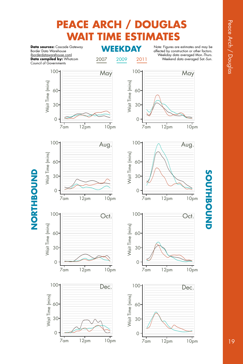# **PEACE ARCH / DOUGLAS WAIT TIME ESTIMATES**

**Data sources:** Cascade Gateway<br>**Register Data Werehouse** Border Data Warehouse (borderdatawarehouse.com) **Data compiled by:** Whatcom Council of Governments

2007 2009 2011

Note: Figures are estimates and may be affected by construction or other factors. Weekday data averaged Mon.-Thurs. Weekend data averaged Sat.-Sun.



# SOUTHBOUND **SOUTHBOUND**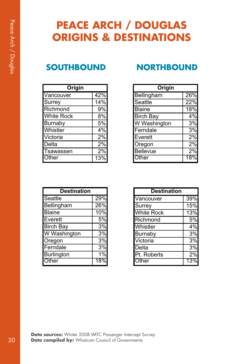# **PEACE ARCH / DOUGLAS ORIGINS & DESTINATIONS**

| Origin            |     |
|-------------------|-----|
| Vancouver         | 42% |
| Surrey            | 14% |
| Richmond          | 9%  |
| <b>White Rock</b> | 8%  |
| <b>Burnaby</b>    | 5%  |
| Whistler          | 4%  |
| Victoria          | 2%  |
| Delta             | 2%  |
| Tsawassen         | 2%  |
| <b>T</b> ther     |     |

### **SOUTHBOUND NORTHBOUND**

| Origin                       |     |
|------------------------------|-----|
| Bellingham                   | 26% |
| Seattle                      | 22% |
| <b>Blaine</b>                | 18% |
| <b>Birch Bay</b>             | 4%  |
| W Washington                 | 3%  |
| Ferndale                     | 3%  |
| Everett                      | 2%  |
| Oregon                       | 2%  |
| <b>Bellevue</b>              | 2%  |
| $\overline{\mathsf{I}}$ ther |     |

| <b>Destination</b> |       |
|--------------------|-------|
| Seattle            | 29%   |
| Bellingham         | 26%   |
| <b>Blaine</b>      | 10%   |
| Everett            | 5%    |
| <b>Birch Bay</b>   | 3%    |
| W Washington       | 3%    |
| Oregon             | 3%    |
| Ferndale           | 3%    |
| Burlington         | $1\%$ |
| Other              |       |

| <b>Destination</b> |     |
|--------------------|-----|
| Vancouver          | 39% |
| Surrey             | 15% |
| <b>White Rock</b>  | 13% |
| Richmond           | 5%  |
| Whistler           | 4%  |
| Burnaby            | 3%  |
| Victoria           | 3%  |
| Delta              | 3%  |
| Pt. Roberts        | 2%  |
| Ofher              |     |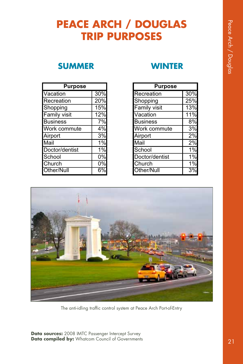# **PEACE ARCH / DOUGLAS TRIP PURPOSES**

### **SUMMER WINTER**

| <b>Purpose</b>  |     |
|-----------------|-----|
| Vacation        | 30% |
| Recreation      | 20% |
| Shopping        | 15% |
| Family visit    | 12% |
| <b>Business</b> | 7%  |
| Work commute    | 4%  |
| Airport         | 3%  |
| Mail            | 1%  |
| Doctor/dentist  | 1%  |
| School          | 0%  |
| Church          | 0%  |
| Other/Null      |     |

| <b>Purpose</b>  |     |
|-----------------|-----|
| Recreation      | 30% |
| Shopping        | 25% |
| Family visit    | 13% |
| Vacation        | 11% |
| <b>Business</b> | 8%  |
| Work commute    | 3%  |
| Airport         | 2%  |
| Mail            | 2%  |
| School          | 1%  |
| Doctor/dentist  | 1%  |
| Church          | 1%  |
| Other/Null      | 3%  |



The anti-idling traffic control system at Peace Arch Port-of-Entry

**Data sources:** 2008 IMTC Passenger Intercept Survey **Data compiled by:** Whatcom Council of Governments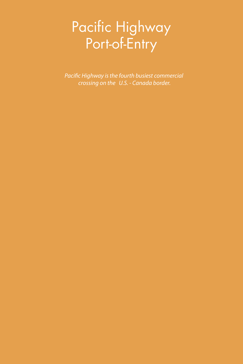# Pacific Highway Port-of-Entry

*Pacific Highway is the fourth busiest commercial crossing on the U.S. - Canada border.*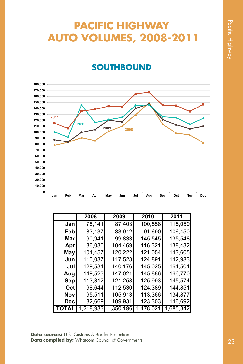# **PACIFIC HIGHWAY AUTO VOLUMES, 2008-2011**

### **SOUTHBOUND**



|       | 2008      | 2009      | 2010      | 2011      |
|-------|-----------|-----------|-----------|-----------|
| Janl  | 78,141    | 87,403    | 100,558   | 115,059   |
| Febl  | 83,137    | 83,912    | 91,690    | 106,450   |
| Marl  | 90,941    | 99,833    | 145,545   | 135,548   |
| Aprl  | 86,030    | 104,469   | 116,321   | 138,432   |
| May   | 101,457   | 120,222   | 121,054   | 143,605   |
| Junl  | 110,037   | 117,528   | 124,891   | 142,983   |
| Jull  | 129,531   | 140,176   | 145,025   | 164,501   |
| Augl  | 149,523   | 147,021   | 145,886   | 166,770   |
| Sep   | 113,312   | 121,258   | 125,993   | 145,574   |
| Octl  | 98,644    | 112,530   | 124,389   | 144,851   |
| Novl  | 95,511    | 105,913   | 113,366   | 134,877   |
| Decl  | 82,669    | 109,931   | 123,303   | 146,692   |
| TOTAL | 1,218,933 | 1,350,196 | 1,478,021 | 1,685,342 |

**Data sources:** U.S. Customs & Border Protection **Data compiled by:** Whatcom Council of Governments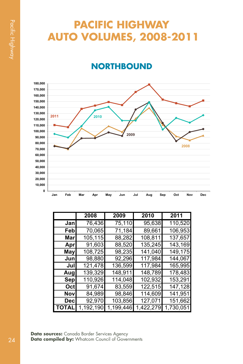# **PACIFIC HIGHWAY AUTO VOLUMES, 2008-2011**

### **NORTHBOUND**



|         | 2008     | 2009      | 2010      | 2011      |
|---------|----------|-----------|-----------|-----------|
| Jan     | 76,436   | 75,110    | 95,638    | 110,520   |
| Feb     | 70,065   | 71,184    | 89,661    | 106,953   |
| Marl    | 105,115  | 88,282    | 108,811   | 137,657   |
| Apr     | 91,603   | 88,520    | 135,245   | 143,169   |
| May     | 108,725  | 98,235    | 141,040   | 149,175   |
| Jun     | 98,880   | 92,296    | 117,984   | 144,067   |
| Jul     | 121,478  | 136,599   | 117,984   | 165,995   |
| Augl    | 139,329  | 148,911   | 148,789   | 178,483   |
| Sep     | 110,926  | 114,048   | 102,932   | 153,291   |
| Octl    | 91,674   | 83,559    | 122,515   | 147,128   |
| Nov     | 84,989   | 98,846    | 114,609   | 141,951   |
| Decl    | 92,970   | 103,856   | 127,071   | 151,662   |
| I TOTAL | ,192,190 | 1,199,446 | 1,422,279 | 1,730,051 |

**Data sources:** Canada Border Services Agency Data compiled by: Whatcom Council of Governments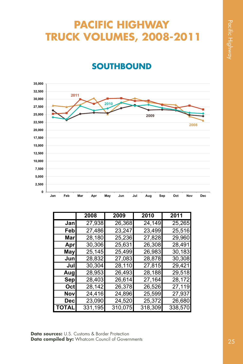# **PACIFIC HIGHWAY TRUCK VOLUMES, 2008-2011**

### **SOUTHBOUND**



|       | 2008    | 2009    | 2010    | 2011    |
|-------|---------|---------|---------|---------|
| Jan   | 27,938  | 26,368  | 24,149  | 25,265  |
| Febl  | 27,486  | 23,247  | 23,499  | 25,516  |
| Marl  | 28,180  | 25,236  | 27,828  | 29,960  |
| Aprl  | 30,306  | 25,631  | 26,308  | 28,491  |
| May   | 25,145  | 25,499  | 26,983  | 30,183  |
| Junl  | 28,832  | 27,083  | 28,878  | 30,308  |
| Jul   | 30,304  | 28,110  | 27,815  | 29,421  |
| Aug   | 28,953  | 26,493  | 28,188  | 29,518  |
| Sepl  | 28,403  | 26,614  | 27,164  | 28,172  |
| Oct   | 28,142  | 26,378  | 26,526  | 27,119  |
| Nov   | 24,416  | 24,896  | 25,599  | 27,937  |
| Decl  | 23,090  | 24,520  | 25,372  | 26,680  |
| TOTAL | 331,195 | 310,075 | 318,309 | 338,570 |

**Data sources:** U.S. Customs & Border Protection **Data compiled by:** Whatcom Council of Governments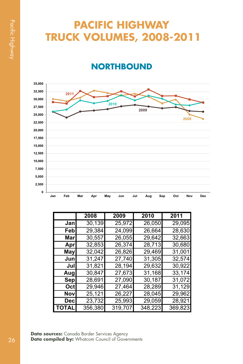# **PACIFIC HIGHWAY TRUCK VOLUMES, 2008-2011**

### **NORTHBOUND**



|              | 2008    | 2009    | 2010    | 2011    |
|--------------|---------|---------|---------|---------|
| Jan          | 30,139  | 25,972  | 26,050  | 29,095  |
| Febl         | 29,384  | 24,099  | 26,664  | 28,630  |
| Marl         | 30,557  | 26,055  | 29,642  | 32,663  |
| Aprl         | 32,853  | 26,374  | 28,713  | 30,680  |
| May          | 32,042  | 26,826  | 29,469  | 31,001  |
| Junl         | 31,247  | 27,740  | 31,305  | 32,574  |
| Jul          | 31,821  | 28,194  | 29,632  | 30,922  |
| Augl         | 30,847  | 27,673  | 31,168  | 33,174  |
| Sep          | 28,691  | 27,090  | 30,187  | 31,072  |
| Oct          | 29,946  | 27,464  | 28,289  | 31,129  |
| Nov          | 25,121  | 26,227  | 28,045  | 29,962  |
| Decl         | 23,732  | 25,993  | 29,059  | 28,921  |
| <b>TOTAL</b> | 356,380 | 319,707 | 348,223 | 369,823 |

**Data sources:** Canada Border Services Agency **Data compiled by:** Whatcom Council of Governments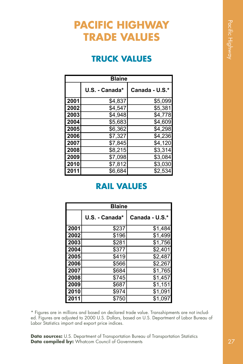# **PACIFIC HIGHWAY TRADE VALUES**

### **TRUCK VALUES**

|      | <b>Blaine</b>  |                |
|------|----------------|----------------|
|      | U.S. - Canada* | Canada - U.S.* |
| 2001 | \$4,837        | \$5,099        |
| 2002 | \$4,547        | \$5,381        |
| 2003 | \$4,948        | \$4,778        |
| 2004 | \$5,683        | \$4,609        |
| 2005 | \$6,362        | \$4,298        |
| 2006 | \$7,327        | \$4,236        |
| 2007 | \$7,845        | \$4,120        |
| 2008 | \$8,215        | \$3,314        |
| 2009 | \$7,098        | \$3,084        |
| 2010 | \$7,812        | \$3,030        |
| 2011 | \$6,684        | \$2,534        |

### **RAIL VALUES**

|      | <b>Blaine</b>  |                |
|------|----------------|----------------|
|      | U.S. - Canada* | Canada - U.S.* |
| 2001 | \$237          | \$1,484        |
| 2002 | \$196          | \$1,499        |
| 2003 | \$281          | \$1,756        |
| 2004 | \$377          | \$2,401        |
| 2005 | \$419          | \$2,487        |
| 2006 | \$566          | \$2,267        |
| 2007 | \$684          | \$1,765        |
| 2008 | \$745          | \$1,457        |
| 2009 | \$687          | \$1,151        |
| 2010 | \$974          | \$1,091        |
| 2011 | \$750          | \$1,097        |

\* Figures are in millions and based on declared trade value. Transshipments are not included. Figures are adjusted to 2000 U.S. Dollars, based on U.S. Department of Labor Bureau of Labor Statistics import and export price indices.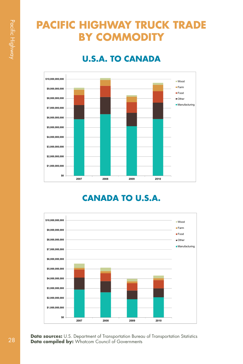# **PACIFIC HIGHWAY TRUCK TRADE BY COMMODITY**

### **U.S.A. TO CANADA**



### **CANADA TO U.S.A.**

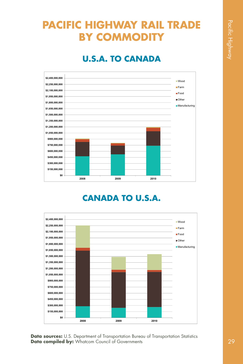# **PACIFIC HIGHWAY RAIL TRADE BY COMMODITY**

### **U.S.A. TO CANADA**



### **CANADA TO U.S.A.**

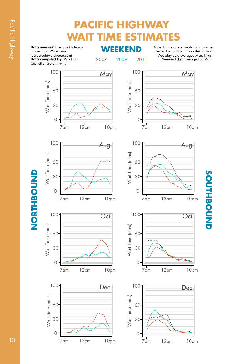# **PACIFIC HIGHWAY WAIT TIME ESTIMATES**

**WEEKEND Data sources:** Cascade Gateway Border Data Warehouse (borderdatawarehouse.com) **Data compiled by:** Whatcom Council of Governments

**NORTHBOUND**

NORTHBOUND

2007 2009 2011

Note: Figures are estimates and may be affected by construction or other factors. Weekday data averaged Mon.-Thurs. Weekend data averaged Sat.-Sun.

**SOUTHBOUND**

SOUTHBOUND



Pacific Highway Pacific Highway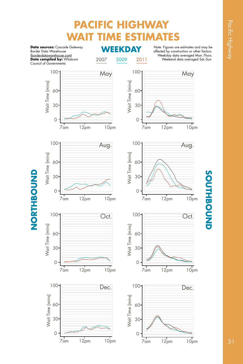# **PACIFIC HIGHWAY WAIT TIME ESTIMATES**

**WEEKDAY Data sources:** Cascade Gateway Border Data Warehouse (borderdatawarehouse.com) **Data compiled by:** Whatcom Council of Governments

2007 2009 2011

Note: Figures are estimates and may be affected by construction or other factors. Weekday data averaged Mon.-Thurs. Weekend data averaged Sat.-Sun.



# SOUTHBOUND **SOUTHBOUND**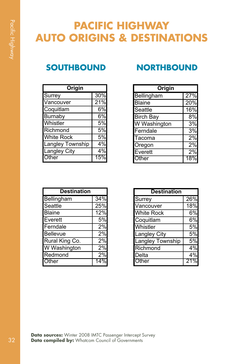# **PACIFIC HIGHWAY AUTO ORIGINS & DESTINATIONS**

| Origin              |     |
|---------------------|-----|
| Surrey              | 30% |
| Vancouver           | 21% |
| Coquitlam           | 6%  |
| <b>Burnaby</b>      | 6%  |
| Whistler            | 5%  |
| Richmond            | 5%  |
| <b>White Rock</b>   | 5%  |
| Langley Township    | 4%  |
| <b>Langley City</b> | 4%  |
| Other               |     |

### **SOUTHBOUND NORTHBOUND**

| Origin           |     |
|------------------|-----|
| Bellingham       | 27% |
| <b>Blaine</b>    | 20% |
| Seattle          | 16% |
| <b>Birch Bay</b> | 8%  |
| W Washington     | 3%  |
| Ferndale         | 3%  |
| Tacoma           | 2%  |
| Oregon           | 2%  |
| Everett          | 2%  |
| Other            |     |

| <b>Destination</b> |     |
|--------------------|-----|
| <b>Bellingham</b>  | 34% |
| Seattle            | 25% |
| <b>Blaine</b>      | 12% |
| Everett            | 5%  |
| Ferndale           | 2%  |
| <b>Bellevue</b>    | 2%  |
| Rural King Co.     | 2%  |
| W Washington       | 2%  |
| Redmond            | 2%  |
| Other              |     |

| <b>Destination</b> |     |  |
|--------------------|-----|--|
| Surrey             | 26% |  |
| Vancouver          | 18% |  |
| <b>White Rock</b>  | 6%  |  |
| Coquitlam          | 6%  |  |
| Whistler           | 5%  |  |
| Langley City       | 5%  |  |
| Langley Township   | 5%  |  |
| Richmond           | 4%  |  |
| Delta              | 4%  |  |
| Other              | 2   |  |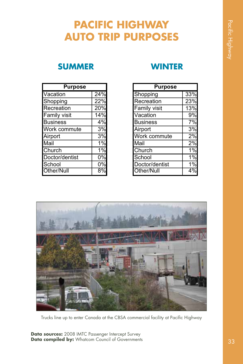# **PACIFIC HIGHWAY AUTO TRIP PURPOSES**

### **SUMMER WINTER**

| <b>Purpose</b>  |     |
|-----------------|-----|
| Vacation        | 24% |
| Shopping        | 22% |
| Recreation      | 20% |
| Family visit    | 14% |
| <b>Business</b> | 4%  |
| Work commute    | 3%  |
| Airport         | 3%  |
| Mail            | 1%  |
| Church          | 1%  |
| Doctor/dentist  | 0%  |
| School          | 0%  |
| Other/Null      |     |

| <b>Purpose</b>      |                  |
|---------------------|------------------|
| Shopping            | 33%              |
| Recreation          | 23%              |
| <b>Family visit</b> | 13%              |
| Vacation            | 9%               |
| <b>Business</b>     | 7%               |
| Airport             | 3%               |
| Work commute        | $\overline{2}\%$ |
| Mail                | 2%               |
| Church              | 1%               |
| School              | 1%               |
| Doctor/dentist      | 1%               |
| <b>Other/Null</b>   |                  |



Trucks line up to enter Canada at the CBSA commercial facility at Pacific Highway

**Data sources:** 2008 IMTC Passenger Intercept Survey Data compiled by: Whatcom Council of Governments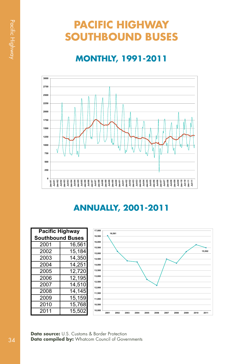# **PACIFIC HIGHWAY SOUTHBOUND BUSES**

## **MONTHLY, 1991-2011**



### **ANNUALLY, 2001-2011**

| <b>Pacific Highway</b>  | 17,000 |                  |
|-------------------------|--------|------------------|
| <b>Southbound Buses</b> |        | 16.500           |
| 2001                    | 16,561 | 16,000<br>15.500 |
| 2002                    | 15,184 | 15,000           |
| 2003                    | 14,350 | 14.500           |
| 2004                    | 14,251 | 14,000           |
| 2005                    | 12,720 | 13,500           |
| 2006                    | 12,195 | 13.000           |
| 2007                    | 14,510 | 12,500<br>12.000 |
| 2008                    | 14,145 | 11.500           |
| 2009                    | 15,159 | 11.000           |
| 2010                    | 15,768 | 10,500           |
| 2011                    | 15,502 | 10,000<br>20     |



**Data source:** U.S. Customs & Border Protection **Data compiled by:** Whatcom Council of Governments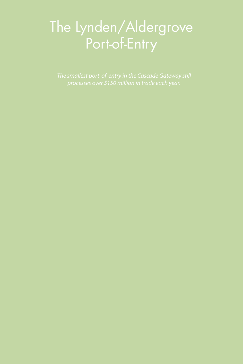# The Lynden/Aldergrove Port-of-Entry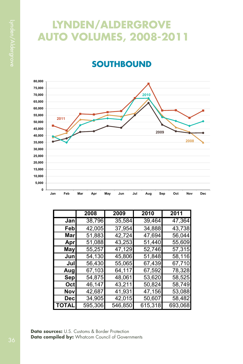# **LYNDEN/ALDERGROVE AUTO VOLUMES, 2008-2011**

### **SOUTHBOUND**



|              | 2008    | 2009    | 2010    | 2011    |
|--------------|---------|---------|---------|---------|
| Jan          | 38,796  | 35,584  | 39,464  | 47,364  |
| Feb          | 42,005  | 37,954  | 34,888  | 43,738  |
| Marl         | 51,883  | 42,724  | 47,694  | 56,044  |
| Apr          | 51,088  | 43,253  | 51,440  | 55,609  |
| <b>May</b>   | 55,257  | 47,129  | 52,746  | 57,315  |
| Junl         | 54,130  | 45,806  | 51,848  | 58,116  |
| Jul          | 56,430  | 55,065  | 67,439  | 67,710  |
| Augl         | 67,103  | 64,117  | 67,592  | 78,328  |
| Sep          | 54,875  | 48,061  | 53,620  | 58,525  |
| Oct          | 46,147  | 43,211  | 50,824  | 58,749  |
| Nov          | 42,687  | 41,931  | 47,156  | 53,088  |
| Decl         | 34,905  | 42,015  | 50,607  | 58,482  |
| <b>TOTAL</b> | 595,306 | 546,850 | 615,318 | 693,068 |

**Data sources:** U.S. Customs & Border Protection **Data compiled by:** Whatcom Council of Governments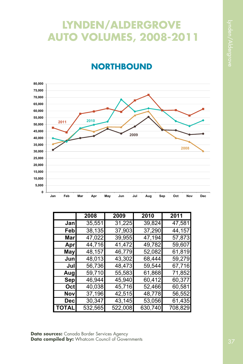# **LYNDEN/ALDERGROVE AUTO VOLUMES, 2008-2011**

### **NORTHBOUND**



|              | 2008    | 2009    | 2010    | 2011    |
|--------------|---------|---------|---------|---------|
| Janl         | 35,551  | 31,225  | 39,824  | 47,581  |
| Febl         | 38,135  | 37,903  | 37,290  | 44,157  |
| Marl         | 47,022  | 39,955  | 47,194  | 57,873  |
| Apr          | 44,716  | 41,472  | 49,782  | 59,607  |
| May          | 48,157  | 46,779  | 52,082  | 61,819  |
| Junl         | 48,013  | 43,302  | 68,444  | 59,279  |
| Jul          | 56,736  | 48,473  | 59,544  | 67,716  |
| Augl         | 59,710  | 55,583  | 61,868  | 71,852  |
| Sep          | 46,944  | 45,940  | 60,412  | 60,377  |
| Octl         | 40,038  | 45,716  | 52,466  | 60,581  |
| Nov          | 37,196  | 42,515  | 48,778  | 56,552  |
| Decl         | 30,347  | 43,145  | 53,056  | 61,435  |
| <b>TOTAL</b> | 532,565 | 522,008 | 630,740 | 708,829 |

**Data sources:** Canada Border Services Agency **Data compiled by:** Whatcom Council of Governments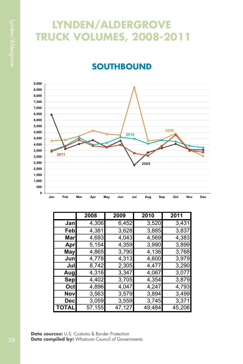# **LYNDEN/ALDERGROVE TRUCK VOLUMES, 2008-2011**

## **SOUTHBOUND**



|              | 2008   | 2009   | 2010   | 2011   |
|--------------|--------|--------|--------|--------|
| Jan          | 4,306  | 6,452  | 3,520  | 3,431  |
| Febl         | 4,381  | 3,628  | 3,885  | 3,837  |
| Marl         | 4,693  | 4,043  | 4,569  | 4,383  |
| Aprl         | 5,154  | 4,359  | 3,990  | 3,899  |
| Mayl         | 4,865  | 3,790  | 4,136  | 3,768  |
| Junl         | 4,778  | 4,313  | 4,600  | 3,979  |
| Jul          | 8,742  | 2,305  | 4,477  | 3,290  |
| Augl         | 4,316  | 3,347  | 4,067  | 3,077  |
| Sepl         | 4,402  | 3,705  | 4,354  | 3,879  |
| Oct          | 4,896  | 4,047  | 4,247  | 4,793  |
| Novl         | 3,563  | 3,579  | 3,894  | 3,499  |
| <b>Decl</b>  | 3,059  | 3,559  | 3,745  | 3,371  |
| <b>TOTAL</b> | 57,155 | 47,127 | 49,484 | 45,206 |

**Data sources:** U.S. Customs & Border Protection **Data compiled by:** Whatcom Council of Governments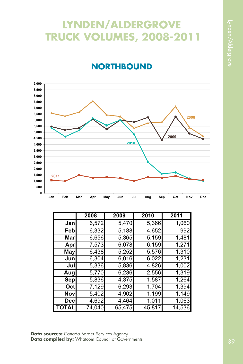# **LYNDEN/ALDERGROVE TRUCK VOLUMES, 2008-2011**

# **NORTHBOUND**



|            | 2008   | 2009   | 2010   | 2011   |
|------------|--------|--------|--------|--------|
| Jan        | 6,572  | 5,470  | 5,366  | 1,060  |
| Feb        | 6,332  | 5,188  | 4,652  | 992    |
| Marl       | 6,656  | 5,365  | 5,159  | 1,481  |
| Apr        | 7,573  | 6,078  | 6,159  | 1,271  |
| <b>May</b> | 6,438  | 5,252  | 5,576  | 1,310  |
| Jun        | 6,304  | 6,016  | 6,022  | 1,231  |
| Jul        | 5,336  | 5,836  | 4,826  | 1,002  |
| Aug        | 5,770  | 6,236  | 2,556  | 1,319  |
| Sep        | 5,836  | 4,375  | 1,587  | 1,264  |
| Octl       | 7,129  | 6,293  | 1,704  | 1,394  |
| Nov        | 5,402  | 4,902  | 1,199  | 1,149  |
| Decl       | 4,692  | 4,464  | 1,011  | 1,063  |
| TOTAL      | 74,040 | 65,475 | 45,817 | 14,536 |

**Data sources:** Canada Border Services Agency **Data compiled by:** Whatcom Council of Governments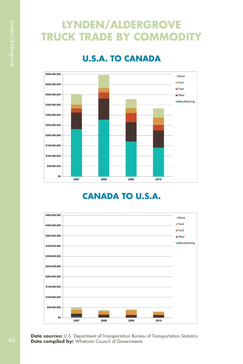# **LYNDEN/ALDERGROVE TRUCK TRADE BY COMMODIT**

### **U.S.A. TO CANADA**



### **CANADA TO U.S.A.**

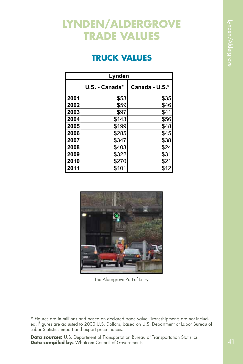# **LYNDEN/ALDERGROVE TRADE VALUES**

### **TRUCK VALUES**

| Lynden |                |                |
|--------|----------------|----------------|
|        | U.S. - Canada* | Canada - U.S.* |
| 2001   | \$53           | \$35           |
| 2002   | \$59           | \$46           |
| 2003   | \$97           | \$41           |
| 2004   | \$143          | \$56           |
| 2005   | \$199          | \$48           |
| 2006   | \$285          | \$45           |
| 2007   | \$347          | \$38           |
| 2008   | \$403          | \$24           |
| 2009   | \$322          | \$31           |
| 2010   | \$270          | \$21           |
| l 2011 | \$101          | \$12           |



The Aldergrove Port-of-Entry

\* Figures are in millions and based on declared trade value. Transshipments are not included. Figures are adjusted to 2000 U.S. Dollars, based on U.S. Department of Labor Bureau of Labor Statistics import and export price indices.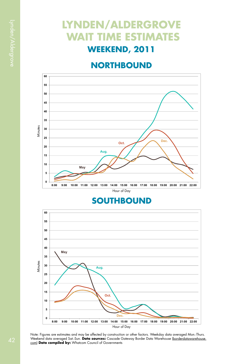# **LYNDEN/ALDERGROVE WAIT TIME ESTIMATES WEEKEND, 2011**

### **NORTHBOUND**



### **SOUTHBOUND**



Note: Figures are estimates and may be affected by construction or other factors. Weekday data averaged Mon.-Thurs. Weekend data averaged Sat.-Sun. **Data sources:** Cascade Gateway Border Data Warehouse <u>(borderdatawarehouse.</u><br><u>com</u>) **Data compiled by:** Whatcom Council of Governments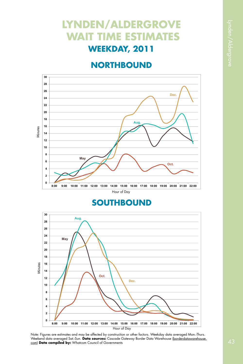# **LYNDEN/ALDERGROVE WAIT TIME ESTIMATES WEEKDAY, 2011**

### **NORTHBOUND**



### **SOUTHBOUND**



Note: Figures are estimates and may be affected by construction or other factors. Weekday data averaged Mon.-Thurs. Weekend data averaged Sat.-Sun. **Data sources:** Cascade Gateway Border Data Warehouse <u>(borderdatawarehouse.</u><br><u>com</u>) **Data compiled by:** Whatcom Council of Governments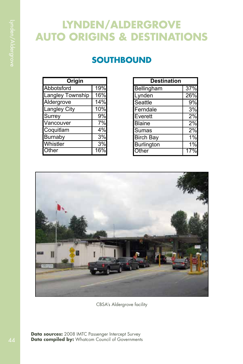# **LYNDEN/ALDERGROVE AUTO ORIGINS & DESTINATIONS**

### **SOUTHBOUND**

| Origin              |                   |
|---------------------|-------------------|
| Abbotsford          | $\overline{19\%}$ |
| Langley Township    | 16%               |
| Aldergrove          | 14%               |
| <b>Langley City</b> | 10%               |
| Surrey              | 9%                |
| Vancouver           | 7%                |
| Coquitlam           | 4%                |
| <b>Burnaby</b>      | 3%                |
| Whistler            | 3%                |
| Other               |                   |

| <b>Destination</b>            |     |
|-------------------------------|-----|
| Bellingham                    | 37% |
| $\overline{\mathsf{Ly}}$ nden | 26% |
| Seattle                       | 9%  |
| Ferndale                      | 3%  |
| Everett                       | 2%  |
| <b>Blaine</b>                 | 2%  |
| Sumas                         | 2%  |
| <b>Birch Bay</b>              | 1%  |
| <b>Burlington</b>             | 1%  |
| Other                         |     |



CBSA's Aldergrove facility

**Data sources:** 2008 IMTC Passenger Intercept Survey Data compiled by: Whatcom Council of Governments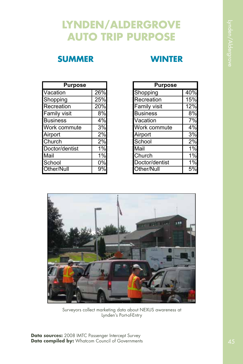# **LYNDEN/ALDERGROVE AUTO TRIP PURPOSE**

### **SUMMER WINTER**

| <b>Purpose</b>  |     |
|-----------------|-----|
| Vacation        | 26% |
| Shopping        | 25% |
| Recreation      | 20% |
| Family visit    | 8%  |
| <b>Business</b> | 4%  |
| Work commute    | 3%  |
| Airport         | 2%  |
| Church          | 2%  |
| Doctor/dentist  | 1%  |
| Mail            | 1%  |
| School          | 0%  |
| Other/Null      |     |

| Purpose         |     |
|-----------------|-----|
| Shopping        | 40% |
| Recreation      | 15% |
| Family visit    | 12% |
| <b>Business</b> | 8%  |
| Vacation        | 7%  |
| Work commute    | 4%  |
| Airport         | 3%  |
| School          | 2%  |
| Mail            | 1%  |
| Church          | 1%  |
| Doctor/dentist  | 1%  |
| Other/Null      |     |



Surveyors collect marketing data about NEXUS awareness at Lynden's Port-of-Entry

**Data sources:** 2008 IMTC Passenger Intercept Survey Data compiled by: Whatcom Council of Governments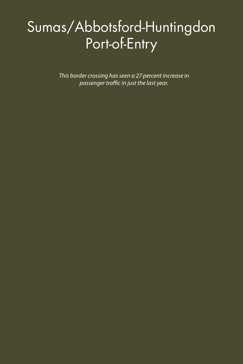# Sumas/Abbotsford-Huntingdon Port-of-Entry

*This border crossing has seen a 27 percent increase in passenger traffic in just the last year.*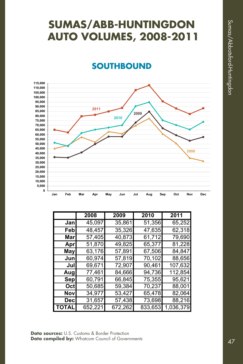# **SUMAS/ABB-HUNTINGDON AUTO VOLUMES, 2008-2011**

### **SOUTHBOUND**



|            | 2008    | 2009    | 2010    | 2011      |
|------------|---------|---------|---------|-----------|
| Janl       | 45,097  | 35,861  | 51,356  | 65,252    |
| Febl       | 48,457  | 35,326  | 47,635  | 62,318    |
| Marl       | 57,405  | 40,873  | 61,712  | 79,690    |
| Apr        | 51,870  | 49,825  | 65,377  | 81,228    |
| May        | 63,176  | 57,891  | 67,506  | 84,847    |
| Junl       | 60,974  | 57,819  | 70,102  | 88,656    |
| Jull       | 69,671  | 72,907  | 90,461  | 107,632   |
| Augl       | 77,461  | 84,666  | 94,736  | 112,854   |
| <b>Sep</b> | 60,791  | 66,845  | 75,355  | 95,621    |
| Octl       | 50,685  | 59,384  | 70,237  | 88,001    |
| Nov        | 34,977  | 53,427  | 65,478  | 82,064    |
| <b>Dec</b> | 31,657  | 57,438  | 73,698  | 88,216    |
| TOTAL      | 652,221 | 672,262 | 833,653 | 1,036,379 |

**Data sources:** U.S. Customs & Border Protection **Data compiled by:** Whatcom Council of Governments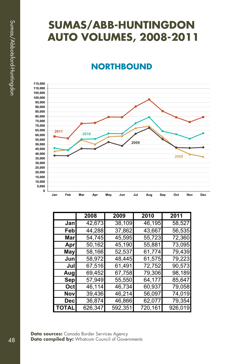# **SUMAS/ABB-HUNTINGDON AUTO VOLUMES, 2008-2011**

### **NORTHBOUND**



|              | 2008    | 2009    | 2010    | 2011    |
|--------------|---------|---------|---------|---------|
| Jan          | 42,673  | 38,109  | 46,195  | 58,527  |
| Feb          | 44,288  | 37,862  | 43,667  | 56,535  |
| Marl         | 54,745  | 45,595  | 55,723  | 72,360  |
| Apr          | 50,162  | 45,190  | 55,881  | 73,095  |
| May          | 58,166  | 52,537  | 61,774  | 79,439  |
| Junl         | 58,972  | 48,445  | 61,575  | 79,223  |
| Jul          | 67,516  | 61,491  | 72,752  | 90,573  |
| Augl         | 69,452  | 67,758  | 79,306  | 98,189  |
| Sep          | 57,949  | 55,550  | 64,177  | 85,647  |
| Oct          | 46,114  | 46,734  | 60,937  | 79,058  |
| Nov          | 39,436  | 46,214  | 56,097  | 74,019  |
| Decl         | 36,874  | 46,866  | 62,077  | 79,354  |
| <b>TOTAL</b> | 626,347 | 592,351 | 720,161 | 926,019 |

**Data sources:** Canada Border Services Agency **Data compiled by:** Whatcom Council of Governments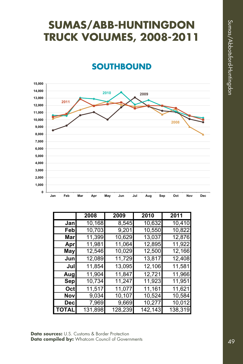# **SUMAS/ABB-HUNTINGDON TRUCK VOLUMES, 2008-2011**

### **SOUTHBOUND**



|            | 2008    | 2009    | 2010    | 2011    |
|------------|---------|---------|---------|---------|
| Jan        | 10,168  | 8,545   | 10,632  | 10,410  |
| Febl       | 10,703  | 9,201   | 10,550  | 10,822  |
| <b>Mar</b> | 11,399  | 10,629  | 13,037  | 12,876  |
| Apr        | 11,981  | 11,064  | 12,895  | 11,922  |
| May        | 12,546  | 10,029  | 12,500  | 12,166  |
| Jun        | 12,089  | 11,729  | 13,817  | 12,408  |
| Jul        | 11,854  | 13,095  | 12,106  | 11,581  |
| Aug        | 11,904  | 11,847  | 12,721  | 11,966  |
| Sep        | 10,734  | 11,247  | 11,923  | 11,951  |
| Octl       | 11,517  | 11,077  | 11,161  | 11,621  |
| Nov        | 9,034   | 10,107  | 10,524  | 10,584  |
| <b>Dec</b> | 7,969   | 9,669   | 10,277  | 10,012  |
| TOTAL      | 131,898 | 128,239 | 142,143 | 138,319 |

**Data sources:** U.S. Customs & Border Protection **Data compiled by:** Whatcom Council of Governments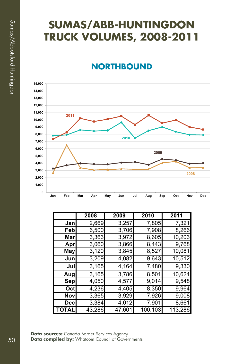# **SUMAS/ABB-HUNTINGDON TRUCK VOLUMES, 2008-2011**

### **NORTHBOUND**



|              | 2008   | 2009   | 2010    | 2011    |
|--------------|--------|--------|---------|---------|
| Jan          | 2,669  | 3,257  | 7,805   | 7,321   |
| Feb          | 6,500  | 3,706  | 7,908   | 8,266   |
| Marl         | 3,363  | 3,972  | 8,605   | 10,203  |
| Aprl         | 3,060  | 3,866  | 8,443   | 9,768   |
| May          | 3,120  | 3,845  | 8,527   | 10,081  |
| Jun          | 3,209  | 4,082  | 9,643   | 10,512  |
| Jul          | 3,165  | 4,164  | 7,480   | 9,330   |
| Aug          | 3,165  | 3,786  | 8,501   | 10,624  |
| Sep          | 4,050  | 4,577  | 9,014   | 9,548   |
| Oct          | 4,236  | 4,405  | 8,350   | 9,964   |
| Novl         | 3,365  | 3,929  | 7,926   | 9,008   |
| Decl         | 3,384  | 4,012  | 7,901   | 8,661   |
| <b>TOTAL</b> | 43,286 | 47,601 | 100,103 | 113,286 |

**Data sources:** Canada Border Services Agency Data compiled by: Whatcom Council of Governments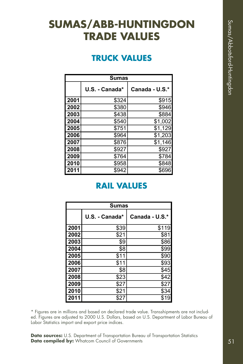# **SUMAS/ABB-HUNTINGDON TRADE VALUES**

### **TRUCK VALUES**

|      | <b>Sumas</b>   |                |
|------|----------------|----------------|
|      | U.S. - Canada* | Canada - U.S.* |
| 2001 | \$324          | \$915          |
| 2002 | \$380          | \$946          |
| 2003 | \$438          | \$884          |
| 2004 | \$540          | \$1,002        |
| 2005 | \$751          | \$1,129        |
| 2006 | \$964          | \$1,203        |
| 2007 | \$876          | \$1,146        |
| 2008 | \$927          | \$927          |
| 2009 | \$764          | \$784          |
| 2010 | \$958          | \$848          |
| 2011 | \$942          | \$696          |

### **RAIL VALUES**

|      | <b>Sumas</b>   |                |
|------|----------------|----------------|
|      | U.S. - Canada* | Canada - U.S.* |
| 2001 | \$39           | \$119          |
| 2002 | \$21           | \$81           |
| 2003 | \$9            | \$86           |
| 2004 | \$8            | \$99           |
| 2005 | \$11           | \$90           |
| 2006 | \$11           | \$93           |
| 2007 | \$8            | \$45           |
| 2008 | \$23           | \$42           |
| 2009 | \$27           | \$27           |
| 2010 | \$21           | \$34           |
| 2011 | \$27           | \$19           |

\* Figures are in millions and based on declared trade value. Transshipments are not included. Figures are adjusted to 2000 U.S. Dollars, based on U.S. Department of Labor Bureau of Labor Statistics import and export price indices.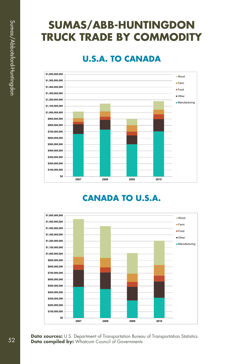# **SUMAS/ABB-HUNTINGDON TRUCK TRADE BY COMMODITY**

### **U.S.A. TO CANADA**



### **CANADA TO U.S.A.**

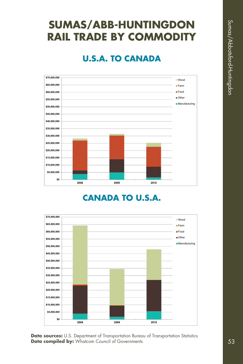# **SUMAS/ABB-HUNTINGDON RAIL TRADE BY COMMODITY**

### **U.S.A. TO CANADA**



### **CANADA TO U.S.A.**

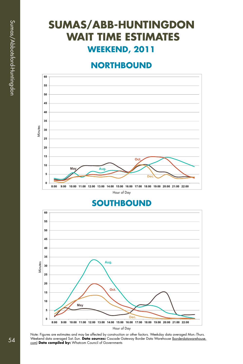# **SUMAS/ABB-HUNTINGDON WAIT TIME ESTIMATES WEEKEND, 2011**

### **NORTHBOUND**



### **SOUTHBOUND**



Note: Figures are estimates and may be affected by construction or other factors. Weekday data averaged Mon.-Thurs. Weekend data averaged Sat.-Sun. **Data sources:** Cascade Gateway Border Data Warehouse <u>(borderdatawarehouse.</u><br><u>com</u>) **Data compiled by:** Whatcom Council of Governments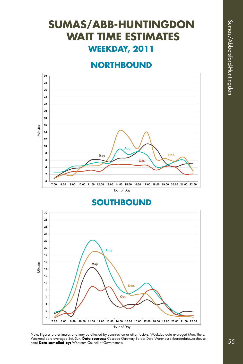# **SUMAS/ABB-HUNTINGDON WAIT TIME ESTIMATES WEEKDAY, 2011**

### **NORTHBOUND**



### **SOUTHBOUND**



Note: Figures are estimates and may be affected by construction or other factors. Weekday data averaged Mon.-Thurs. Weekend data averaged Sat.-Sun. **Data sources:** Cascade Gateway Border Data Warehouse <u>(borderdatawarehouse.</u><br><u>com</u>) **Data compiled by:** Whatcom Council of Governments